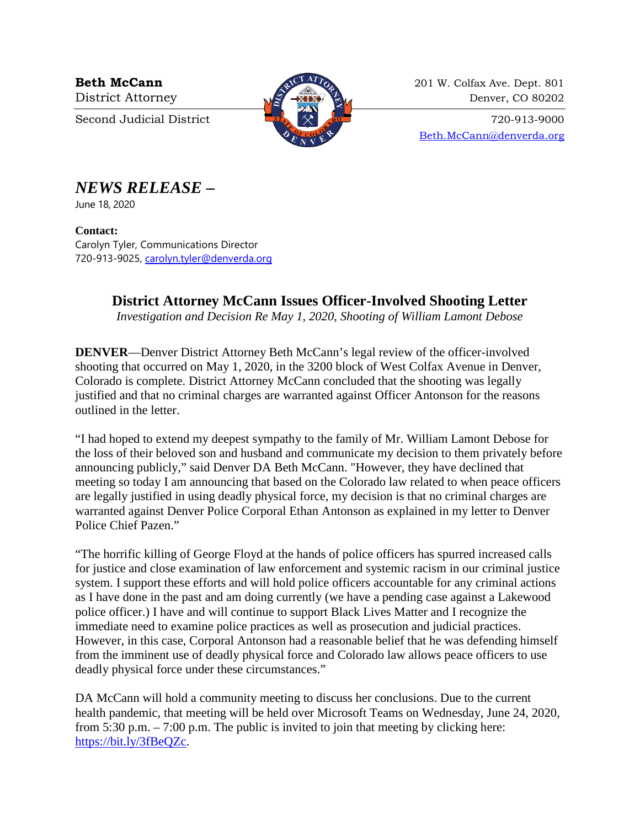

**Beth McCann** 201 W. Colfax Ave. Dept. 801 District Attorney 22 and 220 Denver, CO 80202

Second Judicial District  $\begin{array}{c} \begin{array}{c} \hline \text{3}^{\text{th}} \\ \hline \text{4}^{\text{th}} \end{array} \end{array}$   $\begin{array}{c} \hline \text{4}^{\text{th}} \\ \hline \text{5}^{\text{th}} \end{array}$   $\begin{array}{c} \hline \text{6}^{\text{th}} \\ \hline \text{7}^{\text{th}} \end{array}$  720-913-9000 [Beth.McCann@denverda.org](mailto:Beth.McCann@denverda.org)

## *NEWS RELEASE* **–**

June 18, 2020

**Contact:**  Carolyn Tyler, Communications Director 720-913-9025, [carolyn.tyler@denverda.org](mailto:carolyn.tyler@denverda.org)

## **District Attorney McCann Issues Officer-Involved Shooting Letter**

*Investigation and Decision Re May 1, 2020, Shooting of William Lamont Debose*

**DENVER—Denver District Attorney Beth McCann's legal review of the officer-involved** shooting that occurred on May 1, 2020, in the 3200 block of West Colfax Avenue in Denver, Colorado is complete. District Attorney McCann concluded that the shooting was legally justified and that no criminal charges are warranted against Officer Antonson for the reasons outlined in the letter.

"I had hoped to extend my deepest sympathy to the family of Mr. William Lamont Debose for the loss of their beloved son and husband and communicate my decision to them privately before announcing publicly," said Denver DA Beth McCann. "However, they have declined that meeting so today I am announcing that based on the Colorado law related to when peace officers are legally justified in using deadly physical force, my decision is that no criminal charges are warranted against Denver Police Corporal Ethan Antonson as explained in my letter to Denver Police Chief Pazen."

"The horrific killing of George Floyd at the hands of police officers has spurred increased calls for justice and close examination of law enforcement and systemic racism in our criminal justice system. I support these efforts and will hold police officers accountable for any criminal actions as I have done in the past and am doing currently (we have a pending case against a Lakewood police officer.) I have and will continue to support Black Lives Matter and I recognize the immediate need to examine police practices as well as prosecution and judicial practices. However, in this case, Corporal Antonson had a reasonable belief that he was defending himself from the imminent use of deadly physical force and Colorado law allows peace officers to use deadly physical force under these circumstances."

DA McCann will hold a community meeting to discuss her conclusions. Due to the current health pandemic, that meeting will be held over Microsoft Teams on Wednesday, June 24, 2020, from 5:30 p.m. – 7:00 p.m. The public is invited to join that meeting by clicking here: [https://bit.ly/3fBeQZc.](https://bit.ly/3fBeQZc)